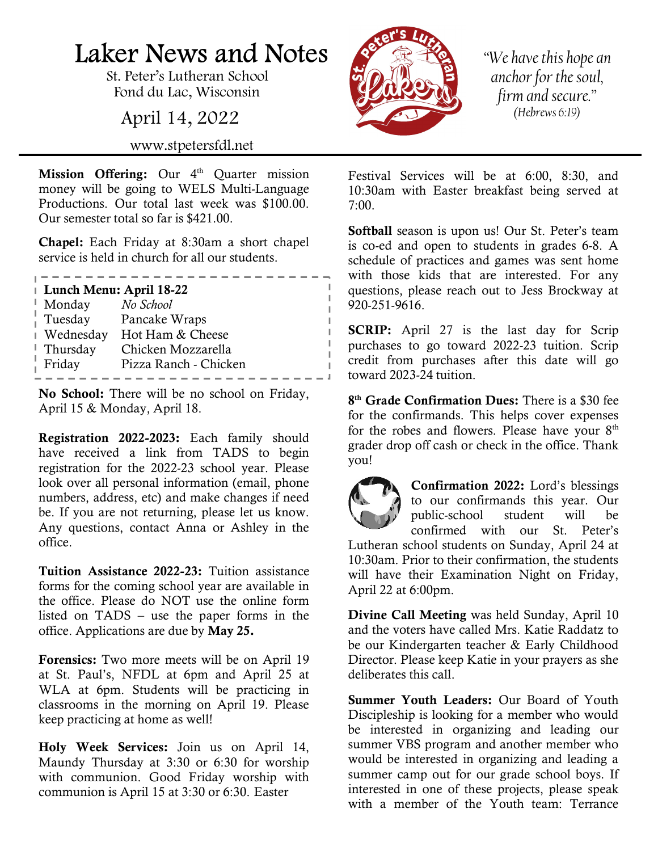## Laker News and Notes

St. Peter's Lutheran School Fond du Lac, Wisconsin

April 14, 2022

www.stpetersfdl.net

Mission Offering: Our  $4<sup>th</sup>$  Quarter mission money will be going to WELS Multi-Language Productions. Our total last week was \$100.00. Our semester total so far is \$421.00.

Chapel: Each Friday at 8:30am a short chapel service is held in church for all our students.

| Lunch Menu: April 18-22 |                       |
|-------------------------|-----------------------|
| Monday                  | No School             |
| Tuesday                 | Pancake Wraps         |
| Wednesday               | Hot Ham & Cheese      |
| Thursday                | Chicken Mozzarella    |
| Friday                  | Pizza Ranch - Chicken |
|                         |                       |

. <u>. . . . . . . . . . . . . . . . .</u> . .

No School: There will be no school on Friday, April 15 & Monday, April 18.

Registration 2022-2023: Each family should have received a link from TADS to begin registration for the 2022-23 school year. Please look over all personal information (email, phone numbers, address, etc) and make changes if need be. If you are not returning, please let us know. Any questions, contact Anna or Ashley in the office.

Tuition Assistance 2022-23: Tuition assistance forms for the coming school year are available in the office. Please do NOT use the online form listed on TADS – use the paper forms in the office. Applications are due by May 25.

Forensics: Two more meets will be on April 19 at St. Paul's, NFDL at 6pm and April 25 at WLA at 6pm. Students will be practicing in classrooms in the morning on April 19. Please keep practicing at home as well!

Holy Week Services: Join us on April 14, Maundy Thursday at 3:30 or 6:30 for worship with communion. Good Friday worship with communion is April 15 at 3:30 or 6:30. Easter



"We have this hope an anchor for the soul, firm and secure." (Hebrews 6:19)

Festival Services will be at 6:00, 8:30, and 10:30am with Easter breakfast being served at 7:00.

Softball season is upon us! Our St. Peter's team is co-ed and open to students in grades 6-8. A schedule of practices and games was sent home with those kids that are interested. For any questions, please reach out to Jess Brockway at 920-251-9616.

**SCRIP:** April 27 is the last day for Scrip purchases to go toward 2022-23 tuition. Scrip credit from purchases after this date will go toward 2023-24 tuition.

8<sup>th</sup> Grade Confirmation Dues: There is a \$30 fee for the confirmands. This helps cover expenses for the robes and flowers. Please have your  $8<sup>th</sup>$ grader drop off cash or check in the office. Thank you!



Confirmation 2022: Lord's blessings to our confirmands this year. Our public-school student will be confirmed with our St. Peter's

Lutheran school students on Sunday, April 24 at 10:30am. Prior to their confirmation, the students will have their Examination Night on Friday, April 22 at 6:00pm.

Divine Call Meeting was held Sunday, April 10 and the voters have called Mrs. Katie Raddatz to be our Kindergarten teacher & Early Childhood Director. Please keep Katie in your prayers as she deliberates this call.

Summer Youth Leaders: Our Board of Youth Discipleship is looking for a member who would be interested in organizing and leading our summer VBS program and another member who would be interested in organizing and leading a summer camp out for our grade school boys. If interested in one of these projects, please speak with a member of the Youth team: Terrance